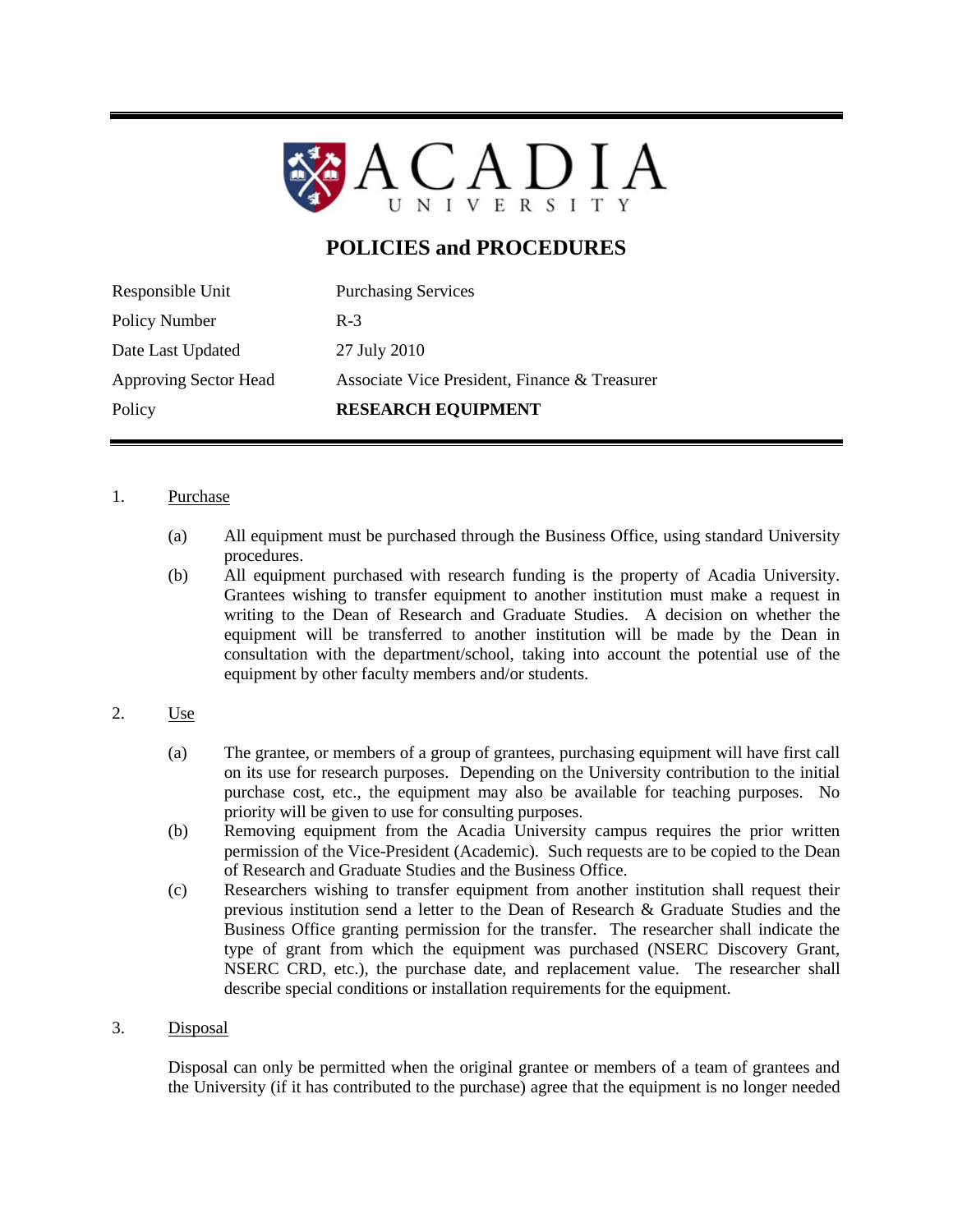

# **POLICIES and PROCEDURES**

| Policy                | <b>RESEARCH EQUIPMENT</b>                     |
|-----------------------|-----------------------------------------------|
| Approving Sector Head | Associate Vice President, Finance & Treasurer |
| Date Last Updated     | 27 July 2010                                  |
| Policy Number         | $R-3$                                         |
| Responsible Unit      | <b>Purchasing Services</b>                    |

## 1. Purchase

- (a) All equipment must be purchased through the Business Office, using standard University procedures.
- (b) All equipment purchased with research funding is the property of Acadia University. Grantees wishing to transfer equipment to another institution must make a request in writing to the Dean of Research and Graduate Studies. A decision on whether the equipment will be transferred to another institution will be made by the Dean in consultation with the department/school, taking into account the potential use of the equipment by other faculty members and/or students.

## 2. Use

- (a) The grantee, or members of a group of grantees, purchasing equipment will have first call on its use for research purposes. Depending on the University contribution to the initial purchase cost, etc., the equipment may also be available for teaching purposes. No priority will be given to use for consulting purposes.
- (b) Removing equipment from the Acadia University campus requires the prior written permission of the Vice-President (Academic). Such requests are to be copied to the Dean of Research and Graduate Studies and the Business Office.
- (c) Researchers wishing to transfer equipment from another institution shall request their previous institution send a letter to the Dean of Research & Graduate Studies and the Business Office granting permission for the transfer. The researcher shall indicate the type of grant from which the equipment was purchased (NSERC Discovery Grant, NSERC CRD, etc.), the purchase date, and replacement value. The researcher shall describe special conditions or installation requirements for the equipment.

### 3. Disposal

Disposal can only be permitted when the original grantee or members of a team of grantees and the University (if it has contributed to the purchase) agree that the equipment is no longer needed